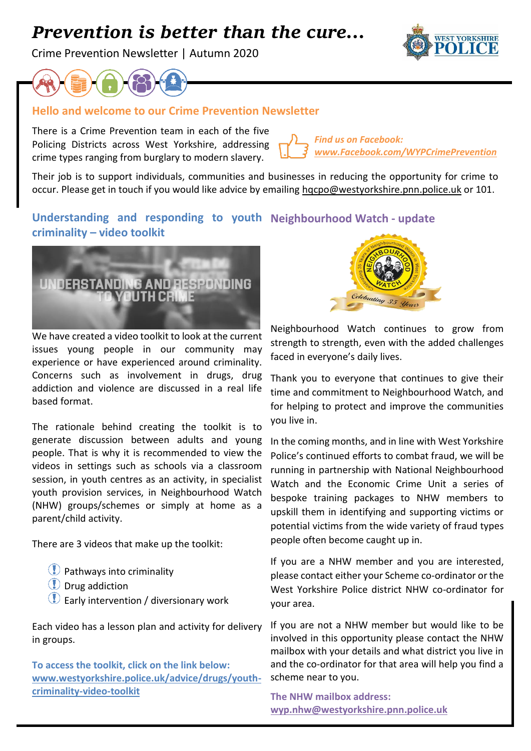# *Prevention is better than the cure…*

Crime Prevention Newsletter | Autumn 2020





#### **Hello and welcome to our Crime Prevention Newsletter**

There is a Crime Prevention team in each of the five Policing Districts across West Yorkshire, addressing crime types ranging from burglary to modern slavery.

*Find us on Facebook: [www.Facebook.com/WYPCrimePrevention](http://www.facebook.com/WYPCrimePrevention)*

Their job is to support individuals, communities and businesses in reducing the opportunity for crime to occur. Please get in touch if you would like advice by emailing [hqcpo@westyorkshire.pnn.police.uk](mailto:hqcpo@westyorkshire.pnn.police.uk) or 101.

## **Understanding and responding to youth Neighbourhood Watch - update criminality – video toolkit**



We have created a video toolkit to look at the current issues young people in our community may experience or have experienced around criminality. Concerns such as involvement in drugs, drug addiction and violence are discussed in a real life based format.

The rationale behind creating the toolkit is to generate discussion between adults and young people. That is why it is recommended to view the videos in settings such as schools via a classroom session, in youth centres as an activity, in specialist youth provision services, in Neighbourhood Watch (NHW) groups/schemes or simply at home as a parent/child activity.

There are 3 videos that make up the toolkit:

- Pathways into criminality
- Drug addiction
- **Early intervention / diversionary work**

Each video has a lesson plan and activity for delivery in groups.

**To access the toolkit, click on the link below: [www.westyorkshire.police.uk/advice/drugs/youth](http://www.westyorkshire.police.uk/advice/drugs/youth-criminality-video-toolkit)[criminality-video-toolkit](http://www.westyorkshire.police.uk/advice/drugs/youth-criminality-video-toolkit)**



Neighbourhood Watch continues to grow from strength to strength, even with the added challenges faced in everyone's daily lives.

Thank you to everyone that continues to give their time and commitment to Neighbourhood Watch, and for helping to protect and improve the communities you live in.

In the coming months, and in line with West Yorkshire Police's continued efforts to combat fraud, we will be running in partnership with National Neighbourhood Watch and the Economic Crime Unit a series of bespoke training packages to NHW members to upskill them in identifying and supporting victims or potential victims from the wide variety of fraud types people often become caught up in.

If you are a NHW member and you are interested, please contact either your Scheme co-ordinator or the West Yorkshire Police district NHW co-ordinator for your area.

If you are not a NHW member but would like to be involved in this opportunity please contact the NHW mailbox with your details and what district you live in and the co-ordinator for that area will help you find a scheme near to you.

**The NHW mailbox address: [wyp.nhw@westyorkshire.pnn.police.uk](mailto:wyp.nhw@westyorkshire.pnn.police.uk)**